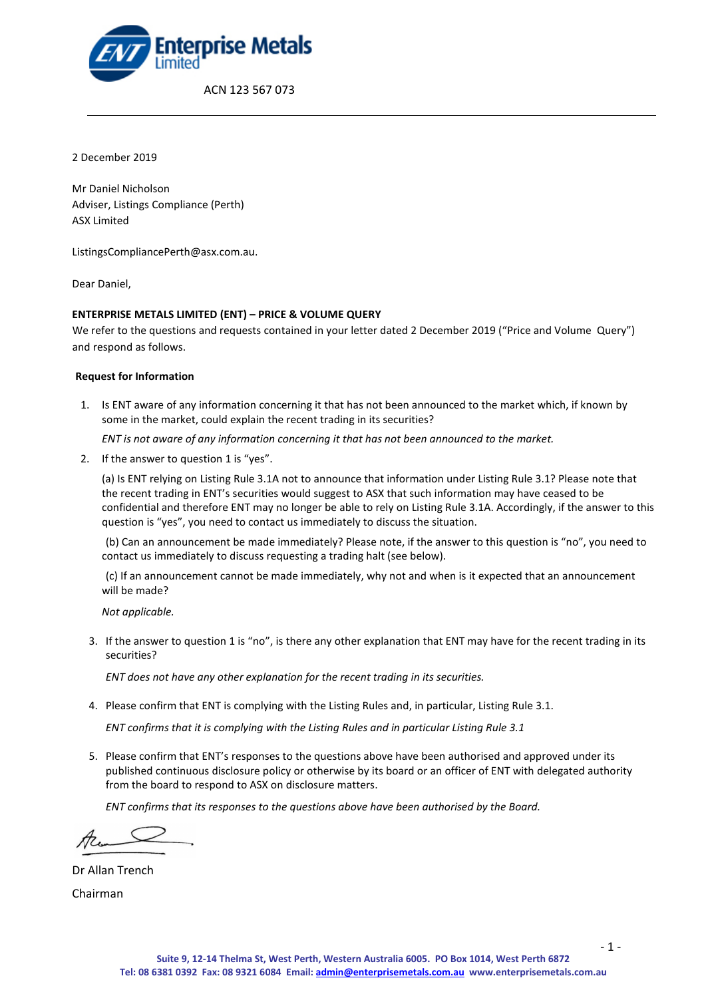

2 December 2019

Mr Daniel Nicholson Adviser, Listings Compliance (Perth) ASX Limited

ListingsCompliancePerth@asx.com.au.

Dear Daniel,

## **ENTERPRISE METALS LIMITED (ENT) – PRICE & VOLUME QUERY**

We refer to the questions and requests contained in your letter dated 2 December 2019 ("Price and Volume Query") and respond as follows.

#### **Request for Information**

1. Is ENT aware of any information concerning it that has not been announced to the market which, if known by some in the market, could explain the recent trading in its securities?

*ENT is not aware of any information concerning it that has not been announced to the market.*

2. If the answer to question 1 is "yes".

(a) Is ENT relying on Listing Rule 3.1A not to announce that information under Listing Rule 3.1? Please note that the recent trading in ENT's securities would suggest to ASX that such information may have ceased to be confidential and therefore ENT may no longer be able to rely on Listing Rule 3.1A. Accordingly, if the answer to this question is "yes", you need to contact us immediately to discuss the situation.

(b) Can an announcement be made immediately? Please note, if the answer to this question is "no", you need to contact us immediately to discuss requesting a trading halt (see below).

(c) If an announcement cannot be made immediately, why not and when is it expected that an announcement will be made?

*Not applicable.*

3. If the answer to question 1 is "no", is there any other explanation that ENT may have for the recent trading in its securities?

*ENT does not have any other explanation for the recent trading in its securities.*

4. Please confirm that ENT is complying with the Listing Rules and, in particular, Listing Rule 3.1.

*ENT confirms that it is complying with the Listing Rules and in particular Listing Rule 3.1*

5. Please confirm that ENT's responses to the questions above have been authorised and approved under its published continuous disclosure policy or otherwise by its board or an officer of ENT with delegated authority from the board to respond to ASX on disclosure matters.

*ENT confirms that its responses to the questions above have been authorised by the Board.*

Dr Allan Trench

Chairman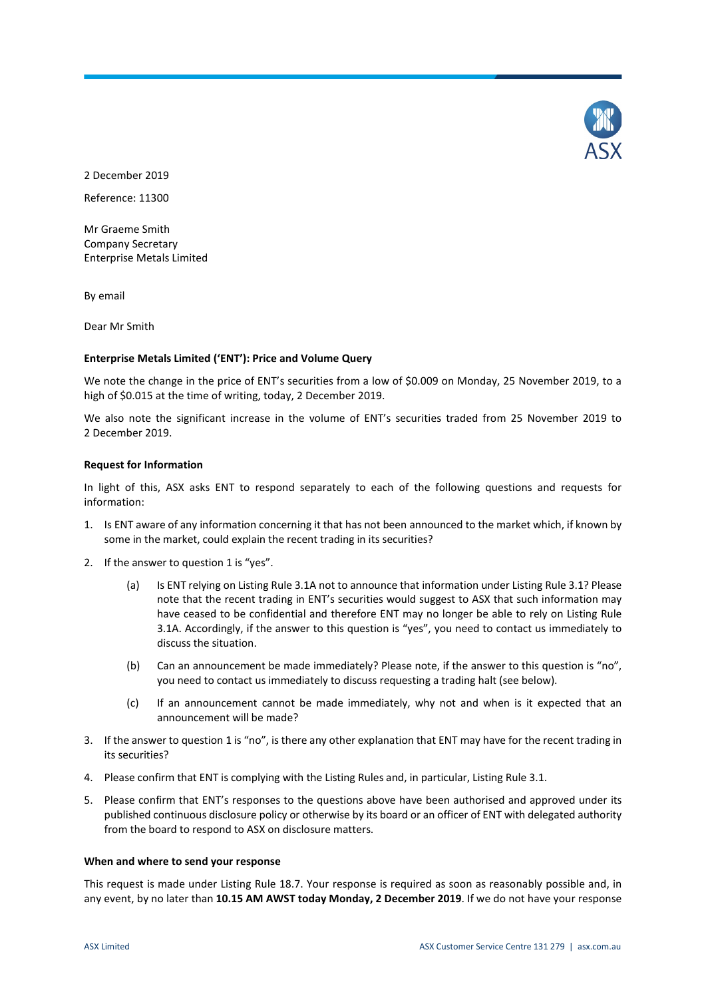

2 December 2019

Reference: 11300

Mr Graeme Smith Company Secretary Enterprise Metals Limited

By email

Dear Mr Smith

## **Enterprise Metals Limited ('ENT'): Price and Volume Query**

We note the change in the price of ENT's securities from a low of \$0.009 on Monday, 25 November 2019, to a high of \$0.015 at the time of writing, today, 2 December 2019.

We also note the significant increase in the volume of ENT's securities traded from 25 November 2019 to 2 December 2019.

## **Request for Information**

In light of this, ASX asks ENT to respond separately to each of the following questions and requests for information:

- 1. Is ENT aware of any information concerning it that has not been announced to the market which, if known by some in the market, could explain the recent trading in its securities?
- 2. If the answer to question 1 is "yes".
	- (a) Is ENT relying on Listing Rule 3.1A not to announce that information under Listing Rule 3.1? Please note that the recent trading in ENT's securities would suggest to ASX that such information may have ceased to be confidential and therefore ENT may no longer be able to rely on Listing Rule 3.1A. Accordingly, if the answer to this question is "yes", you need to contact us immediately to discuss the situation.
	- (b) Can an announcement be made immediately? Please note, if the answer to this question is "no", you need to contact us immediately to discuss requesting a trading halt (see below).
	- (c) If an announcement cannot be made immediately, why not and when is it expected that an announcement will be made?
- 3. If the answer to question 1 is "no", is there any other explanation that ENT may have for the recent trading in its securities?
- 4. Please confirm that ENT is complying with the Listing Rules and, in particular, Listing Rule 3.1.
- 5. Please confirm that ENT's responses to the questions above have been authorised and approved under its published continuous disclosure policy or otherwise by its board or an officer of ENT with delegated authority from the board to respond to ASX on disclosure matters.

#### **When and where to send your response**

This request is made under Listing Rule 18.7. Your response is required as soon as reasonably possible and, in any event, by no later than **10.15 AM AWST today Monday, 2 December 2019**. If we do not have your response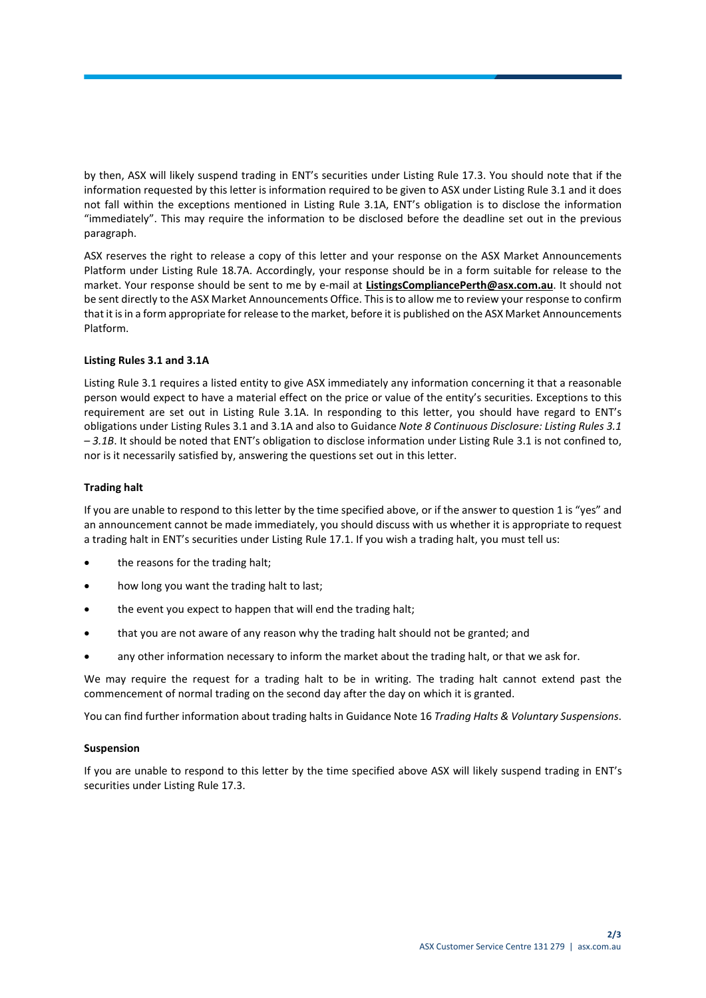by then, ASX will likely suspend trading in ENT's securities under Listing Rule 17.3. You should note that if the information requested by this letter is information required to be given to ASX under Listing Rule 3.1 and it does not fall within the exceptions mentioned in Listing Rule 3.1A, ENT's obligation is to disclose the information "immediately". This may require the information to be disclosed before the deadline set out in the previous paragraph.

ASX reserves the right to release a copy of this letter and your response on the ASX Market Announcements Platform under Listing Rule 18.7A. Accordingly, your response should be in a form suitable for release to the market. Your response should be sent to me by e-mail at **ListingsCompliancePerth@asx.com.au**. It should not be sent directly to the ASX Market Announcements Office. This is to allow me to review your response to confirm that it is in a form appropriate for release to the market, before it is published on the ASX Market Announcements Platform.

## **Listing Rules 3.1 and 3.1A**

Listing Rule 3.1 requires a listed entity to give ASX immediately any information concerning it that a reasonable person would expect to have a material effect on the price or value of the entity's securities. Exceptions to this requirement are set out in Listing Rule 3.1A. In responding to this letter, you should have regard to ENT's obligations under Listing Rules 3.1 and 3.1A and also to Guidance *Note 8 Continuous Disclosure: Listing Rules 3.1 – 3.1B*. It should be noted that ENT's obligation to disclose information under Listing Rule 3.1 is not confined to, nor is it necessarily satisfied by, answering the questions set out in this letter.

## **Trading halt**

If you are unable to respond to this letter by the time specified above, or if the answer to question 1 is "yes" and an announcement cannot be made immediately, you should discuss with us whether it is appropriate to request a trading halt in ENT's securities under Listing Rule 17.1. If you wish a trading halt, you must tell us:

- the reasons for the trading halt;
- how long you want the trading halt to last;
- the event you expect to happen that will end the trading halt;
- that you are not aware of any reason why the trading halt should not be granted; and
- any other information necessary to inform the market about the trading halt, or that we ask for.

We may require the request for a trading halt to be in writing. The trading halt cannot extend past the commencement of normal trading on the second day after the day on which it is granted.

You can find further information about trading halts in Guidance Note 16 *Trading Halts & Voluntary Suspensions*.

## **Suspension**

If you are unable to respond to this letter by the time specified above ASX will likely suspend trading in ENT's securities under Listing Rule 17.3.